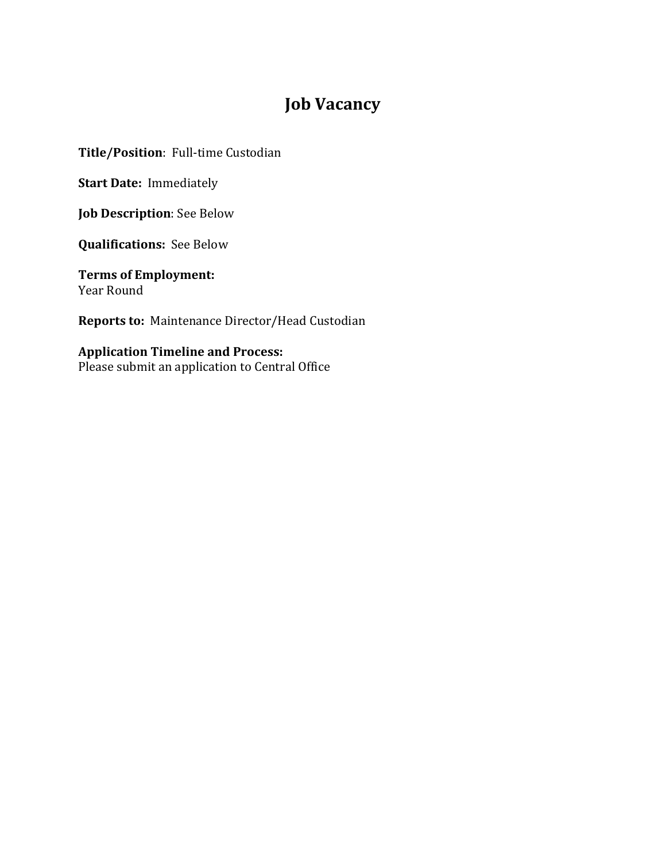# **Job Vacancy**

**Title/Position**: Full-time Custodian

**Start Date: Immediately** 

**Job Description:** See Below

**Qualifications:** See Below

**Terms of Employment:** Year Round

**Reports to:** Maintenance Director/Head Custodian

## **Application Timeline and Process:**

Please submit an application to Central Office